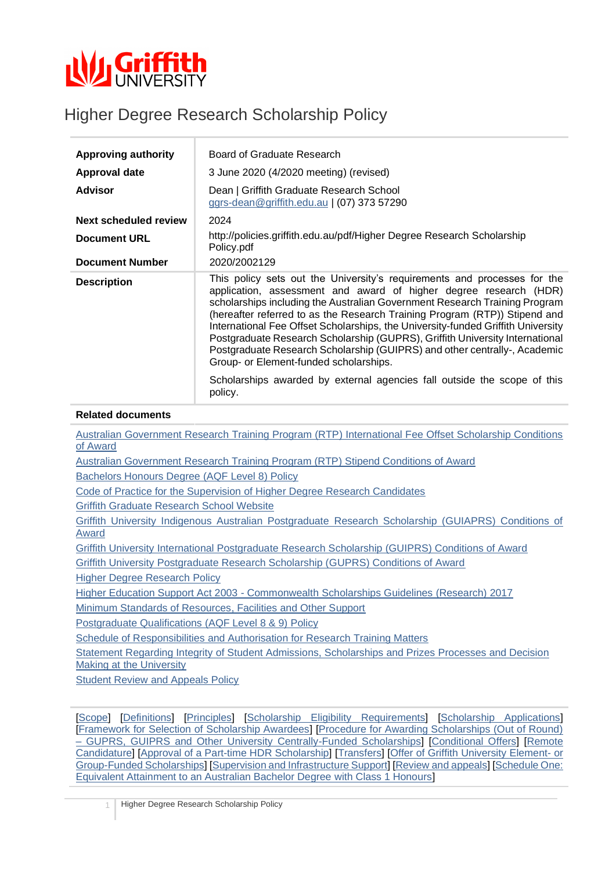

# Higher Degree Research Scholarship Policy

| <b>Approving authority</b>   | Board of Graduate Research                                                                                                                                                                                                                                                                                                                                                                                                                                                                                                                                                                                                                                                                  |  |
|------------------------------|---------------------------------------------------------------------------------------------------------------------------------------------------------------------------------------------------------------------------------------------------------------------------------------------------------------------------------------------------------------------------------------------------------------------------------------------------------------------------------------------------------------------------------------------------------------------------------------------------------------------------------------------------------------------------------------------|--|
| Approval date                | 3 June 2020 (4/2020 meeting) (revised)                                                                                                                                                                                                                                                                                                                                                                                                                                                                                                                                                                                                                                                      |  |
| <b>Advisor</b>               | Dean   Griffith Graduate Research School<br>ggrs-dean@griffith.edu.au   (07) 373 57290                                                                                                                                                                                                                                                                                                                                                                                                                                                                                                                                                                                                      |  |
| <b>Next scheduled review</b> | 2024                                                                                                                                                                                                                                                                                                                                                                                                                                                                                                                                                                                                                                                                                        |  |
| <b>Document URL</b>          | http://policies.griffith.edu.au/pdf/Higher Degree Research Scholarship<br>Policy.pdf                                                                                                                                                                                                                                                                                                                                                                                                                                                                                                                                                                                                        |  |
| <b>Document Number</b>       | 2020/2002129                                                                                                                                                                                                                                                                                                                                                                                                                                                                                                                                                                                                                                                                                |  |
| <b>Description</b>           | This policy sets out the University's requirements and processes for the<br>application, assessment and award of higher degree research (HDR)<br>scholarships including the Australian Government Research Training Program<br>(hereafter referred to as the Research Training Program (RTP)) Stipend and<br>International Fee Offset Scholarships, the University-funded Griffith University<br>Postgraduate Research Scholarship (GUPRS), Griffith University International<br>Postgraduate Research Scholarship (GUIPRS) and other centrally-, Academic<br>Group- or Element-funded scholarships.<br>Scholarships awarded by external agencies fall outside the scope of this<br>policy. |  |

#### **Related documents**

Australian Government [Research Training Program \(RTP\) International Fee Offset Scholarship Conditions](https://www.griffith.edu.au/__data/assets/pdf_file/0022/658111/RTP-International-Fee-Offset-Scholarship-Conditions-of-Award.pdf)  [of Award](https://www.griffith.edu.au/__data/assets/pdf_file/0022/658111/RTP-International-Fee-Offset-Scholarship-Conditions-of-Award.pdf)

Australian Government [Research Training Program \(RTP\) Stipend Conditions of Award](https://www.griffith.edu.au/__data/assets/pdf_file/0019/607303/RTP-Stipend-Conditions-of-Award.pdf)

[Bachelors Honours Degree \(AQF Level 8\) Policy](http://policies.griffith.edu.au/pdf/Bachelor%20Honours%20Degree%20Policy.pdf)

[Code of Practice for the Supervision of Higher Degree Research Candidates](http://policies.griffith.edu.au/pdf/Code%20of%20Practice%20for%20the%20Supervision%20of%20HDR%20Candidates.pdf)

[Griffith Graduate Research School Website](https://www.griffith.edu.au/griffith-graduate-research-school)

[Griffith University Indigenous Australian Postgraduate Research Scholarship \(GUIAPRS\) Conditions of](https://www.griffith.edu.au/__data/assets/pdf_file/0022/604408/GUIAPRS-Conditions-of-Award.pdf)  [Award](https://www.griffith.edu.au/__data/assets/pdf_file/0022/604408/GUIAPRS-Conditions-of-Award.pdf)

[Griffith University International Postgraduate Research Scholarship \(GUIPRS\) Conditions of Award](https://www.griffith.edu.au/__data/assets/pdf_file/0030/607377/GUIPRS-Conditions-of-Award.pdf)

[Griffith University Postgraduate Research Scholarship \(GUPRS\) Conditions of Award](https://www.griffith.edu.au/__data/assets/pdf_file/0030/607368/GUPRS-Conditions-of-Award.pdf)

[Higher Degree Research Policy](http://policies.griffith.edu.au/pdf/Higher%20Degree%20Research%20Policy.pdf)

[Higher Education Support Act 2003 -](https://www.legislation.gov.au/Details/F2016L01602) Commonwealth Scholarships Guidelines (Research) 2017

[Minimum Standards of Resources, Facilities and Other Support](https://www.griffith.edu.au/higher-degrees-research/services-support-resources/facilities-support)

Postgraduate [Qualifications \(AQF Level 8 & 9\) Policy](http://policies.griffith.edu.au/pdf/Postgraduate%20Qualifications%20Policy.pdf)

**[Schedule of Responsibilities and Authorisation for Research](https://www.griffith.edu.au/__data/assets/pdf_file/0024/425265/Schedule-of-Responsibilities-and-Authorisation-for-Research-Training-Matters.pdf) Training Matters** 

[Statement Regarding Integrity of Student Admissions, Scholarships and Prizes Processes and Decision](http://policies.griffith.edu.au/pdf/Admissions%20Scholarships%20Prizes%20Integrity%20Statement.pdf)  [Making at the University](http://policies.griffith.edu.au/pdf/Admissions%20Scholarships%20Prizes%20Integrity%20Statement.pdf)

[Student Review and Appeals Policy](http://policies.griffith.edu.au/pdf/Student%20Review%20and%20Appeals%20Policy.pdf)

[\[Scope\]](#page-1-0) [\[Definitions\]](#page-1-1) [\[Principles\]](#page-2-0) [\[Scholarship Eligibility Requirements\]](#page-3-0) [\[Scholarship Applications\]](#page-3-1) [\[Framework for Selection of Scholarship Awardees\]](#page-4-0) [\[Procedure for Awarding Scholarships \(Out of Round\)](#page-6-0) – [GUPRS, GUIPRS and Other University Centrally-Funded Scholarships\]](#page-6-0) [\[Conditional Offers\]](#page-7-0) [\[Remote](#page-7-1)  [Candidature\]](#page-7-1) [\[Approval of a Part-time HDR Scholarship\]](#page-8-0) [\[Transfers\]](#page-8-1) [\[Offer of Griffith University Element-](#page-8-2) or [Group-Funded Scholarships\]](#page-8-2) [\[Supervision and Infrastructure Support\]](#page-9-0) [\[Review and appeals\]](#page-9-1) [\[Schedule One:](#page-11-0)  [Equivalent Attainment to an Australian Bachelor Degree with Class 1 Honours\]](#page-11-0)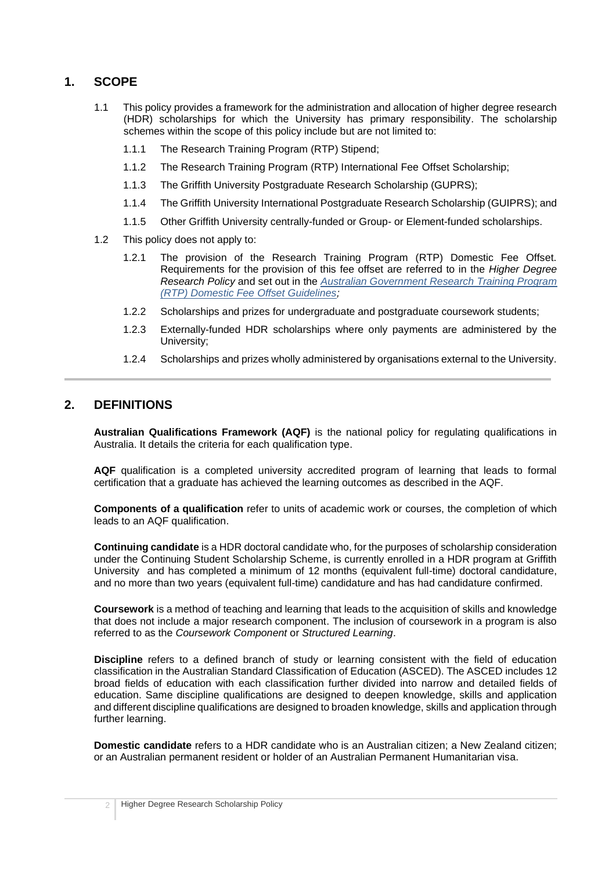# <span id="page-1-0"></span>**1. SCOPE**

- 1.1 This policy provides a framework for the administration and allocation of higher degree research (HDR) scholarships for which the University has primary responsibility. The scholarship schemes within the scope of this policy include but are not limited to:
	- 1.1.1 The Research Training Program (RTP) Stipend;
	- 1.1.2 The Research Training Program (RTP) International Fee Offset Scholarship;
	- 1.1.3 The Griffith University Postgraduate Research Scholarship (GUPRS);
	- 1.1.4 The Griffith University International Postgraduate Research Scholarship (GUIPRS); and
	- 1.1.5 Other Griffith University centrally-funded or Group- or Element-funded scholarships.
- 1.2 This policy does not apply to:
	- 1.2.1 The provision of the Research Training Program (RTP) Domestic Fee Offset. Requirements for the provision of this fee offset are referred to in the *Higher Degree Research Policy* and set out in the *Australian Government [Research Training Program](https://www.griffith.edu.au/__data/assets/pdf_file/0017/607310/RTP-Domestic-Fee-Offset-Guidelines.pdf)  [\(RTP\) Domestic Fee Offset Guidelines;](https://www.griffith.edu.au/__data/assets/pdf_file/0017/607310/RTP-Domestic-Fee-Offset-Guidelines.pdf)*
	- 1.2.2 Scholarships and prizes for undergraduate and postgraduate coursework students;
	- 1.2.3 Externally-funded HDR scholarships where only payments are administered by the University;
	- 1.2.4 Scholarships and prizes wholly administered by organisations external to the University.

# <span id="page-1-1"></span>**2. DEFINITIONS**

**Australian Qualifications Framework (AQF)** is the national policy for regulating qualifications in Australia. It details the criteria for each qualification type.

**AQF** qualification is a completed university accredited program of learning that leads to formal certification that a graduate has achieved the learning outcomes as described in the AQF.

**Components of a qualification** refer to units of academic work or courses, the completion of which leads to an AQF qualification.

**Continuing candidate** is a HDR doctoral candidate who, for the purposes of scholarship consideration under the Continuing Student Scholarship Scheme, is currently enrolled in a HDR program at Griffith University and has completed a minimum of 12 months (equivalent full-time) doctoral candidature, and no more than two years (equivalent full-time) candidature and has had candidature confirmed.

**Coursework** is a method of teaching and learning that leads to the acquisition of skills and knowledge that does not include a major research component. The inclusion of coursework in a program is also referred to as the *Coursework Component* or *Structured Learning*.

**Discipline** refers to a defined branch of study or learning consistent with the field of education classification in the Australian Standard Classification of Education (ASCED). The ASCED includes 12 broad fields of education with each classification further divided into narrow and detailed fields of education. Same discipline qualifications are designed to deepen knowledge, skills and application and different discipline qualifications are designed to broaden knowledge, skills and application through further learning.

**Domestic candidate** refers to a HDR candidate who is an Australian citizen; a New Zealand citizen; or an Australian permanent resident or holder of an Australian Permanent Humanitarian visa.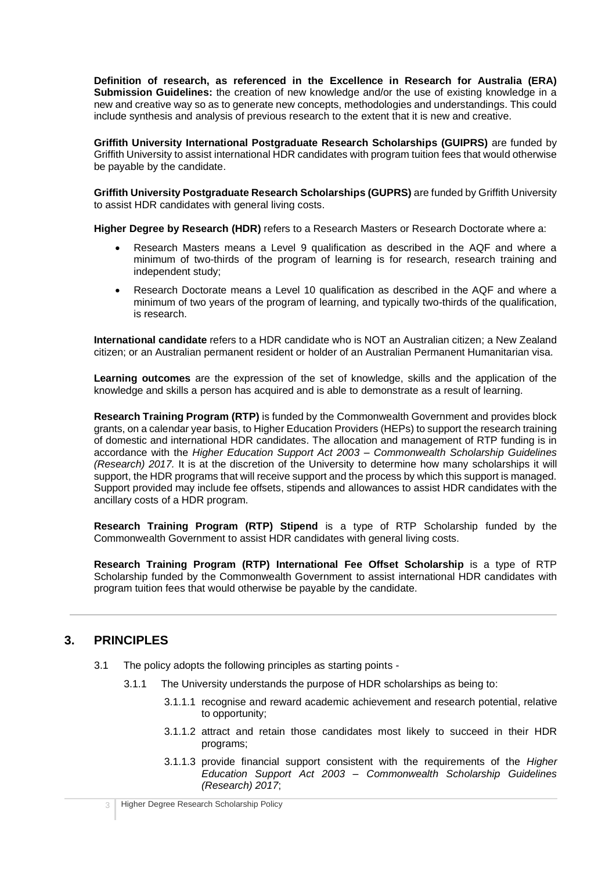**Definition of research, as referenced in the Excellence in Research for Australia (ERA) Submission Guidelines:** the creation of new knowledge and/or the use of existing knowledge in a new and creative way so as to generate new concepts, methodologies and understandings. This could include synthesis and analysis of previous research to the extent that it is new and creative.

**Griffith University International Postgraduate Research Scholarships (GUIPRS)** are funded by Griffith University to assist international HDR candidates with program tuition fees that would otherwise be payable by the candidate.

**Griffith University Postgraduate Research Scholarships (GUPRS)** are funded by Griffith University to assist HDR candidates with general living costs.

**Higher Degree by Research (HDR)** refers to a Research Masters or Research Doctorate where a:

- Research Masters means a Level 9 qualification as described in the AQF and where a minimum of two-thirds of the program of learning is for research, research training and independent study;
- Research Doctorate means a Level 10 qualification as described in the AQF and where a minimum of two years of the program of learning, and typically two-thirds of the qualification, is research.

**International candidate** refers to a HDR candidate who is NOT an Australian citizen; a New Zealand citizen; or an Australian permanent resident or holder of an Australian Permanent Humanitarian visa.

**Learning outcomes** are the expression of the set of knowledge, skills and the application of the knowledge and skills a person has acquired and is able to demonstrate as a result of learning.

**Research Training Program (RTP)** is funded by the Commonwealth Government and provides block grants, on a calendar year basis, to Higher Education Providers (HEPs) to support the research training of domestic and international HDR candidates. The allocation and management of RTP funding is in accordance with the *Higher Education Support Act 2003 – Commonwealth Scholarship Guidelines (Research) 2017.* It is at the discretion of the University to determine how many scholarships it will support, the HDR programs that will receive support and the process by which this support is managed. Support provided may include fee offsets, stipends and allowances to assist HDR candidates with the ancillary costs of a HDR program.

**Research Training Program (RTP) Stipend** is a type of RTP Scholarship funded by the Commonwealth Government to assist HDR candidates with general living costs.

**Research Training Program (RTP) International Fee Offset Scholarship** is a type of RTP Scholarship funded by the Commonwealth Government to assist international HDR candidates with program tuition fees that would otherwise be payable by the candidate.

# <span id="page-2-0"></span>**3. PRINCIPLES**

- 3.1 The policy adopts the following principles as starting points
	- 3.1.1 The University understands the purpose of HDR scholarships as being to:
		- 3.1.1.1 recognise and reward academic achievement and research potential, relative to opportunity;
		- 3.1.1.2 attract and retain those candidates most likely to succeed in their HDR programs;
		- 3.1.1.3 provide financial support consistent with the requirements of the *Higher Education Support Act 2003 – Commonwealth Scholarship Guidelines (Research) 2017*;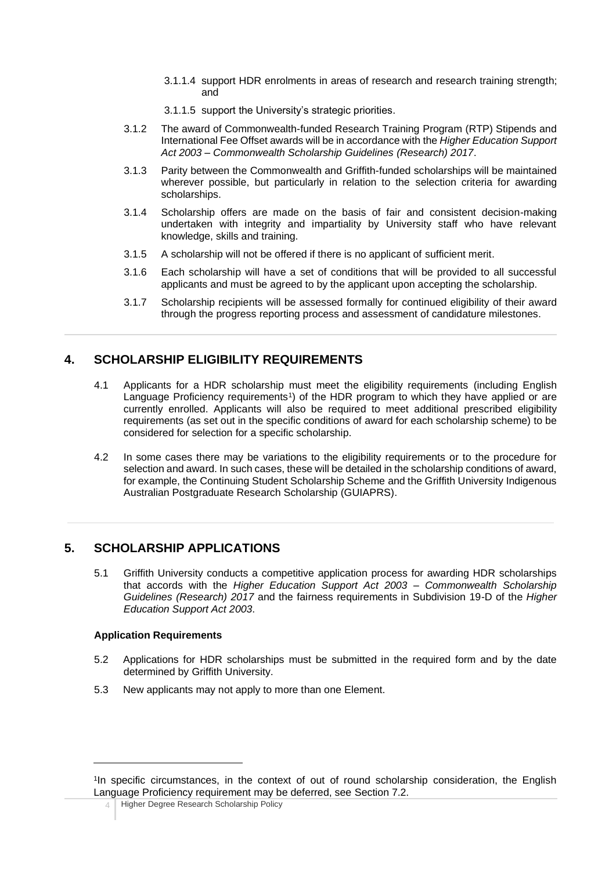- 3.1.1.4 support HDR enrolments in areas of research and research training strength; and
- 3.1.1.5 support the University's strategic priorities.
- 3.1.2 The award of Commonwealth-funded Research Training Program (RTP) Stipends and International Fee Offset awards will be in accordance with the *Higher Education Support Act 2003 – Commonwealth Scholarship Guidelines (Research) 2017*.
- 3.1.3 Parity between the Commonwealth and Griffith-funded scholarships will be maintained wherever possible, but particularly in relation to the selection criteria for awarding scholarships.
- 3.1.4 Scholarship offers are made on the basis of fair and consistent decision-making undertaken with integrity and impartiality by University staff who have relevant knowledge, skills and training.
- 3.1.5 A scholarship will not be offered if there is no applicant of sufficient merit.
- 3.1.6 Each scholarship will have a set of conditions that will be provided to all successful applicants and must be agreed to by the applicant upon accepting the scholarship.
- 3.1.7 Scholarship recipients will be assessed formally for continued eligibility of their award through the progress reporting process and assessment of candidature milestones.

# <span id="page-3-0"></span>**4. SCHOLARSHIP ELIGIBILITY REQUIREMENTS**

- 4.1 Applicants for a HDR scholarship must meet the eligibility requirements (including English Language Proficiency requirements<sup>1</sup>) of the HDR program to which they have applied or are currently enrolled. Applicants will also be required to meet additional prescribed eligibility requirements (as set out in the specific conditions of award for each scholarship scheme) to be considered for selection for a specific scholarship.
- 4.2 In some cases there may be variations to the eligibility requirements or to the procedure for selection and award. In such cases, these will be detailed in the scholarship conditions of award, for example, the Continuing Student Scholarship Scheme and the Griffith University Indigenous Australian Postgraduate Research Scholarship (GUIAPRS).

# <span id="page-3-1"></span>**5. SCHOLARSHIP APPLICATIONS**

5.1 Griffith University conducts a competitive application process for awarding HDR scholarships that accords with the *Higher Education Support Act 2003 – Commonwealth Scholarship Guidelines (Research) 2017* and the fairness requirements in Subdivision 19-D of the *Higher Education Support Act 2003*.

#### **Application Requirements**

- 5.2 Applications for HDR scholarships must be submitted in the required form and by the date determined by Griffith University.
- 5.3 New applicants may not apply to more than one Element.

<sup>1</sup> In specific circumstances, in the context of out of round scholarship consideration, the English Language Proficiency requirement may be deferred, see Section 7.2.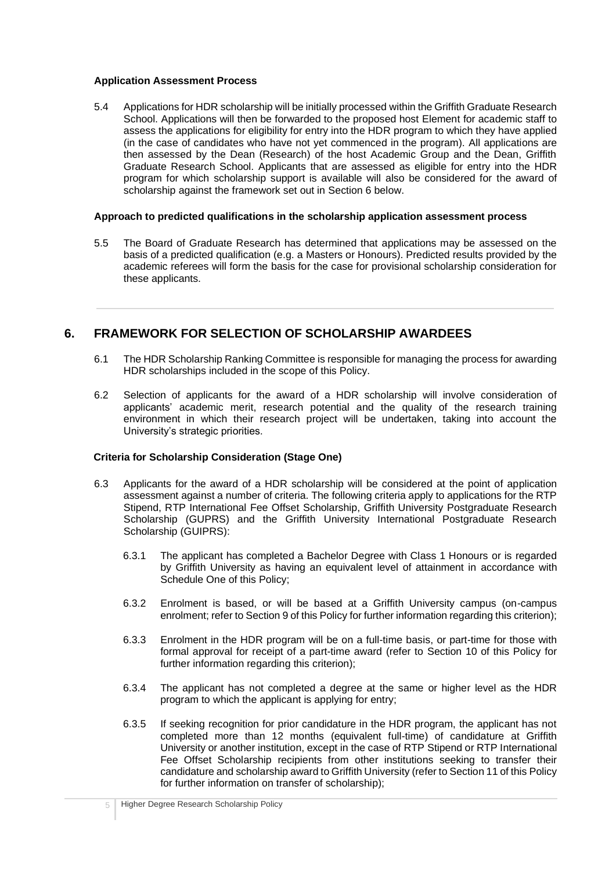#### **Application Assessment Process**

5.4 Applications for HDR scholarship will be initially processed within the Griffith Graduate Research School. Applications will then be forwarded to the proposed host Element for academic staff to assess the applications for eligibility for entry into the HDR program to which they have applied (in the case of candidates who have not yet commenced in the program). All applications are then assessed by the Dean (Research) of the host Academic Group and the Dean, Griffith Graduate Research School. Applicants that are assessed as eligible for entry into the HDR program for which scholarship support is available will also be considered for the award of scholarship against the framework set out in Section 6 below.

### **Approach to predicted qualifications in the scholarship application assessment process**

5.5 The Board of Graduate Research has determined that applications may be assessed on the basis of a predicted qualification (e.g. a Masters or Honours). Predicted results provided by the academic referees will form the basis for the case for provisional scholarship consideration for these applicants.

# <span id="page-4-0"></span>**6. FRAMEWORK FOR SELECTION OF SCHOLARSHIP AWARDEES**

- 6.1 The HDR Scholarship Ranking Committee is responsible for managing the process for awarding HDR scholarships included in the scope of this Policy.
- 6.2 Selection of applicants for the award of a HDR scholarship will involve consideration of applicants' academic merit, research potential and the quality of the research training environment in which their research project will be undertaken, taking into account the University's strategic priorities.

### **Criteria for Scholarship Consideration (Stage One)**

- 6.3 Applicants for the award of a HDR scholarship will be considered at the point of application assessment against a number of criteria. The following criteria apply to applications for the RTP Stipend, RTP International Fee Offset Scholarship, Griffith University Postgraduate Research Scholarship (GUPRS) and the Griffith University International Postgraduate Research Scholarship (GUIPRS):
	- 6.3.1 The applicant has completed a Bachelor Degree with Class 1 Honours or is regarded by Griffith University as having an equivalent level of attainment in accordance with Schedule One of this Policy;
	- 6.3.2 Enrolment is based, or will be based at a Griffith University campus (on-campus enrolment; refer to Section 9 of this Policy for further information regarding this criterion);
	- 6.3.3 Enrolment in the HDR program will be on a full-time basis, or part-time for those with formal approval for receipt of a part-time award (refer to Section 10 of this Policy for further information regarding this criterion);
	- 6.3.4 The applicant has not completed a degree at the same or higher level as the HDR program to which the applicant is applying for entry;
	- 6.3.5 If seeking recognition for prior candidature in the HDR program, the applicant has not completed more than 12 months (equivalent full-time) of candidature at Griffith University or another institution, except in the case of RTP Stipend or RTP International Fee Offset Scholarship recipients from other institutions seeking to transfer their candidature and scholarship award to Griffith University (refer to Section 11of this Policy for further information on transfer of scholarship);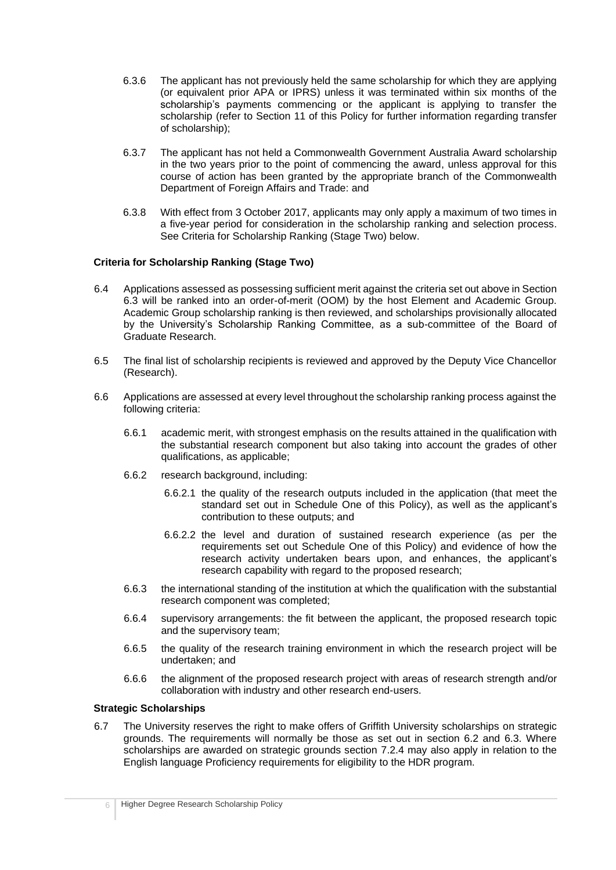- 6.3.6 The applicant has not previously held the same scholarship for which they are applying (or equivalent prior APA or IPRS) unless it was terminated within six months of the scholarship's payments commencing or the applicant is applying to transfer the scholarship (refer to Section 11 of this Policy for further information regarding transfer of scholarship);
- 6.3.7 The applicant has not held a Commonwealth Government Australia Award scholarship in the two years prior to the point of commencing the award, unless approval for this course of action has been granted by the appropriate branch of the Commonwealth Department of Foreign Affairs and Trade: and
- 6.3.8 With effect from 3 October 2017, applicants may only apply a maximum of two times in a five-year period for consideration in the scholarship ranking and selection process. See Criteria for Scholarship Ranking (Stage Two) below.

#### **Criteria for Scholarship Ranking (Stage Two)**

- 6.4 Applications assessed as possessing sufficient merit against the criteria set out above in Section 6.3 will be ranked into an order-of-merit (OOM) by the host Element and Academic Group. Academic Group scholarship ranking is then reviewed, and scholarships provisionally allocated by the University's Scholarship Ranking Committee, as a sub-committee of the Board of Graduate Research.
- 6.5 The final list of scholarship recipients is reviewed and approved by the Deputy Vice Chancellor (Research).
- 6.6 Applications are assessed at every level throughout the scholarship ranking process against the following criteria:
	- 6.6.1 academic merit, with strongest emphasis on the results attained in the qualification with the substantial research component but also taking into account the grades of other qualifications, as applicable;
	- 6.6.2 research background, including:
		- 6.6.2.1 the quality of the research outputs included in the application (that meet the standard set out in Schedule One of this Policy), as well as the applicant's contribution to these outputs; and
		- 6.6.2.2 the level and duration of sustained research experience (as per the requirements set out Schedule One of this Policy) and evidence of how the research activity undertaken bears upon, and enhances, the applicant's research capability with regard to the proposed research;
	- 6.6.3 the international standing of the institution at which the qualification with the substantial research component was completed;
	- 6.6.4 supervisory arrangements: the fit between the applicant, the proposed research topic and the supervisory team;
	- 6.6.5 the quality of the research training environment in which the research project will be undertaken; and
	- 6.6.6 the alignment of the proposed research project with areas of research strength and/or collaboration with industry and other research end-users.

#### **Strategic Scholarships**

6.7 The University reserves the right to make offers of Griffith University scholarships on strategic grounds. The requirements will normally be those as set out in section 6.2 and 6.3. Where scholarships are awarded on strategic grounds section 7.2.4 may also apply in relation to the English language Proficiency requirements for eligibility to the HDR program.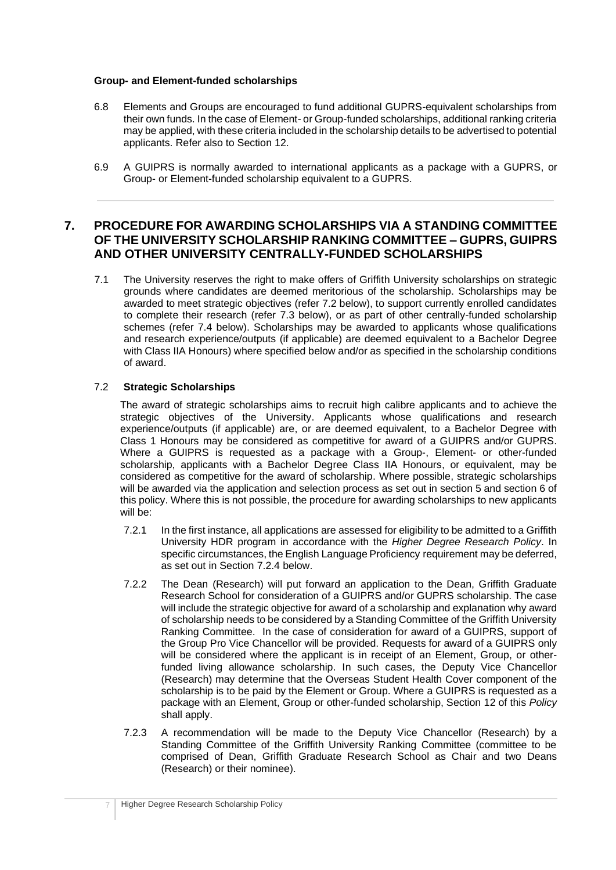#### **Group- and Element-funded scholarships**

- 6.8 Elements and Groups are encouraged to fund additional GUPRS-equivalent scholarships from their own funds. In the case of Element-or Group-funded scholarships, additional ranking criteria may be applied, with these criteria included in the scholarship details to be advertised to potential applicants. Refer also to Section 12.
- 6.9 A GUIPRS is normally awarded to international applicants as a package with a GUPRS, or Group- or Element-funded scholarship equivalent to a GUPRS.

# <span id="page-6-0"></span>**7. PROCEDURE FOR AWARDING SCHOLARSHIPS VIA A STANDING COMMITTEE OF THE UNIVERSITY SCHOLARSHIP RANKING COMMITTEE** *–* **GUPRS, GUIPRS AND OTHER UNIVERSITY CENTRALLY-FUNDED SCHOLARSHIPS**

7.1 The University reserves the right to make offers of Griffith University scholarships on strategic grounds where candidates are deemed meritorious of the scholarship. Scholarships may be awarded to meet strategic objectives (refer 7.2 below), to support currently enrolled candidates to complete their research (refer 7.3 below), or as part of other centrally-funded scholarship schemes (refer 7.4 below). Scholarships may be awarded to applicants whose qualifications and research experience/outputs (if applicable) are deemed equivalent to a Bachelor Degree with Class IIA Honours) where specified below and/or as specified in the scholarship conditions of award.

### 7.2 **Strategic Scholarships**

The award of strategic scholarships aims to recruit high calibre applicants and to achieve the strategic objectives of the University. Applicants whose qualifications and research experience/outputs (if applicable) are, or are deemed equivalent, to a Bachelor Degree with Class 1 Honours may be considered as competitive for award of a GUIPRS and/or GUPRS. Where a GUIPRS is requested as a package with a Group-, Element- or other-funded scholarship, applicants with a Bachelor Degree Class IIA Honours, or equivalent, may be considered as competitive for the award of scholarship. Where possible, strategic scholarships will be awarded via the application and selection process as set out in section 5 and section 6 of this policy. Where this is not possible, the procedure for awarding scholarships to new applicants will be:

- 7.2.1 In the first instance, all applications are assessed for eligibility to be admitted to a Griffith University HDR program in accordance with the *Higher Degree Research Policy*. In specific circumstances, the English Language Proficiency requirement may be deferred, as set out in Section 7.2.4 below.
- 7.2.2 The Dean (Research) will put forward an application to the Dean, Griffith Graduate Research School for consideration of a GUIPRS and/or GUPRS scholarship. The case will include the strategic objective for award of a scholarship and explanation why award of scholarship needs to be considered by a Standing Committee of the Griffith University Ranking Committee. In the case of consideration for award of a GUIPRS, support of the Group Pro Vice Chancellor will be provided. Requests for award of a GUIPRS only will be considered where the applicant is in receipt of an Element, Group, or otherfunded living allowance scholarship. In such cases, the Deputy Vice Chancellor (Research) may determine that the Overseas Student Health Cover component of the scholarship is to be paid by the Element or Group. Where a GUIPRS is requested as a package with an Element, Group or other-funded scholarship, Section 12 of this *Policy* shall apply.
- 7.2.3 A recommendation will be made to the Deputy Vice Chancellor (Research) by a Standing Committee of the Griffith University Ranking Committee (committee to be comprised of Dean, Griffith Graduate Research School as Chair and two Deans (Research) or their nominee).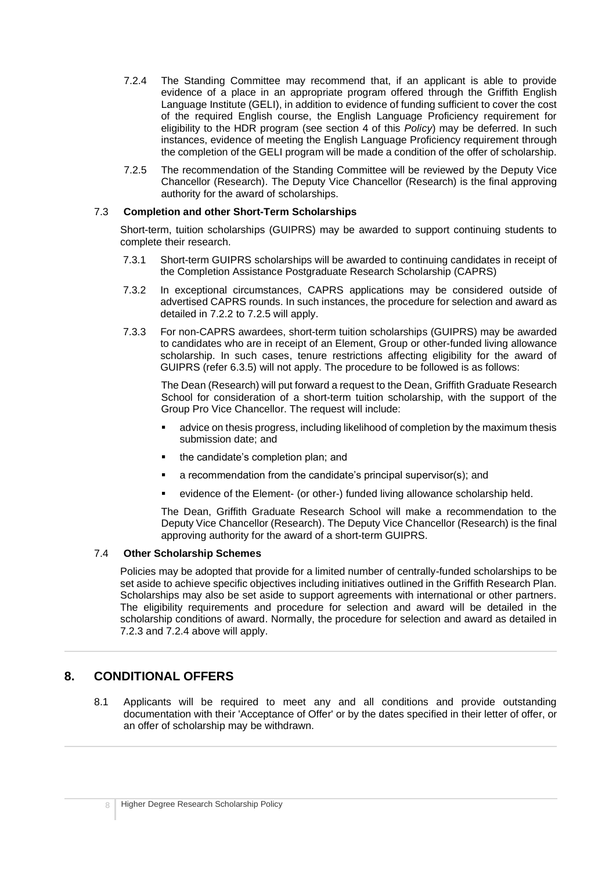- 7.2.4 The Standing Committee may recommend that, if an applicant is able to provide evidence of a place in an appropriate program offered through the Griffith English Language Institute (GELI), in addition to evidence of funding sufficient to cover the cost of the required English course, the English Language Proficiency requirement for eligibility to the HDR program (see section 4 of this *Policy*) may be deferred. In such instances, evidence of meeting the English Language Proficiency requirement through the completion of the GELI program will be made a condition of the offer of scholarship.
- 7.2.5 The recommendation of the Standing Committee will be reviewed by the Deputy Vice Chancellor (Research). The Deputy Vice Chancellor (Research) is the final approving authority for the award of scholarships.

#### 7.3 **Completion and other Short-Term Scholarships**

Short-term, tuition scholarships (GUIPRS) may be awarded to support continuing students to complete their research.

- 7.3.1 Short-term GUIPRS scholarships will be awarded to continuing candidates in receipt of the Completion Assistance Postgraduate Research Scholarship (CAPRS)
- 7.3.2 In exceptional circumstances, CAPRS applications may be considered outside of advertised CAPRS rounds. In such instances, the procedure for selection and award as detailed in 7.2.2 to 7.2.5 will apply.
- 7.3.3 For non-CAPRS awardees, short-term tuition scholarships (GUIPRS) may be awarded to candidates who are in receipt of an Element, Group or other-funded living allowance scholarship. In such cases, tenure restrictions affecting eligibility for the award of GUIPRS (refer 6.3.5) will not apply. The procedure to be followed is as follows:

The Dean (Research) will put forward a request to the Dean, Griffith Graduate Research School for consideration of a short-term tuition scholarship, with the support of the Group Pro Vice Chancellor. The request will include:

- advice on thesis progress, including likelihood of completion by the maximum thesis submission date; and
- the candidate's completion plan; and
- a recommendation from the candidate's principal supervisor(s); and
- evidence of the Element- (or other-) funded living allowance scholarship held.

The Dean, Griffith Graduate Research School will make a recommendation to the Deputy Vice Chancellor (Research). The Deputy Vice Chancellor (Research) is the final approving authority for the award of a short-term GUIPRS.

#### 7.4 **Other Scholarship Schemes**

Policies may be adopted that provide for a limited number of centrally-funded scholarships to be set aside to achieve specific objectives including initiatives outlined in the Griffith Research Plan. Scholarships may also be set aside to support agreements with international or other partners. The eligibility requirements and procedure for selection and award will be detailed in the scholarship conditions of award. Normally, the procedure for selection and award as detailed in  $7.2.3$  and  $7.2.4$  above will apply.

### <span id="page-7-0"></span>**8. CONDITIONAL OFFERS**

<span id="page-7-1"></span>8.1 Applicants will be required to meet any and all conditions and provide outstanding documentation with their 'Acceptance of Offer' or by the dates specified in their letter of offer, or an offer of scholarship may be withdrawn.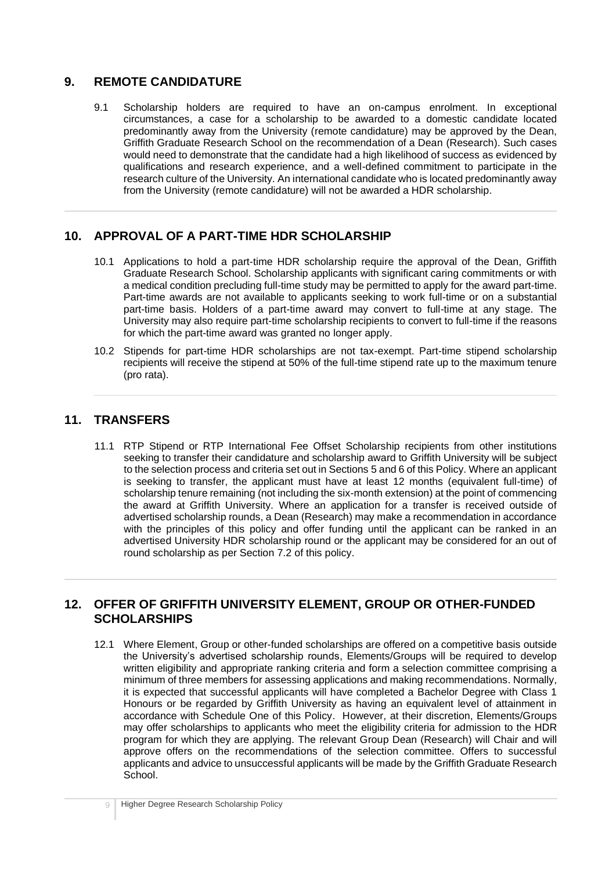# **9. REMOTE CANDIDATURE**

9.1 Scholarship holders are required to have an on-campus enrolment. In exceptional circumstances, a case for a scholarship to be awarded to a domestic candidate located predominantly away from the University (remote candidature) may be approved by the Dean, Griffith Graduate Research School on the recommendation of a Dean (Research). Such cases would need to demonstrate that the candidate had a high likelihood of success as evidenced by qualifications and research experience, and a well-defined commitment to participate in the research culture of the University. An international candidate who is located predominantly away from the University (remote candidature) will not be awarded a HDR scholarship.

# <span id="page-8-0"></span>**10. APPROVAL OF A PART-TIME HDR SCHOLARSHIP**

- 10.1 Applications to hold a part-time HDR scholarship require the approval of the Dean, Griffith Graduate Research School. Scholarship applicants with significant caring commitments or with a medical condition precluding full-time study may be permitted to apply for the award part-time. Part-time awards are not available to applicants seeking to work full-time or on a substantial part-time basis. Holders of a part-time award may convert to full-time at any stage. The University may also require part-time scholarship recipients to convert to full-time if the reasons for which the part-time award was granted no longer apply.
- 10.2 Stipends for part-time HDR scholarships are not tax-exempt. Part-time stipend scholarship recipients will receive the stipend at 50% of the full-time stipend rate up to the maximum tenure (pro rata).

# <span id="page-8-1"></span>**11. TRANSFERS**

11.1 RTP Stipend or RTP International Fee Offset Scholarship recipients from other institutions seeking to transfer their candidature and scholarship award to Griffith University will be subject to the selection process and criteria set out in Sections 5 and 6 of this Policy. Where an applicant is seeking to transfer, the applicant must have at least 12 months (equivalent full-time) of scholarship tenure remaining (not including the six-month extension) at the point of commencing the award at Griffith University. Where an application for a transfer is received outside of advertised scholarship rounds, a Dean (Research) may make a recommendation in accordance with the principles of this policy and offer funding until the applicant can be ranked in an advertised University HDR scholarship round or the applicant may be considered for an out of round scholarship as per Section 7.2 of this policy.

# <span id="page-8-2"></span>**12. OFFER OF GRIFFITH UNIVERSITY ELEMENT, GROUP OR OTHER-FUNDED SCHOLARSHIPS**

12.1 Where Element, Group or other-funded scholarships are offered on a competitive basis outside the University's advertised scholarship rounds, Elements/Groups will be required to develop written eligibility and appropriate ranking criteria and form a selection committee comprising a minimum of three members for assessing applications and making recommendations. Normally, it is expected that successful applicants will have completed a Bachelor Degree with Class 1 Honours or be regarded by Griffith University as having an equivalent level of attainment in accordance with Schedule One of this Policy. However, at their discretion, Elements/Groups may offer scholarships to applicants who meet the eligibility criteria for admission to the HDR program for which they are applying. The relevant Group Dean (Research) will Chair and will approve offers on the recommendations of the selection committee. Offers to successful applicants and advice to unsuccessful applicants will be made by the Griffith Graduate Research School.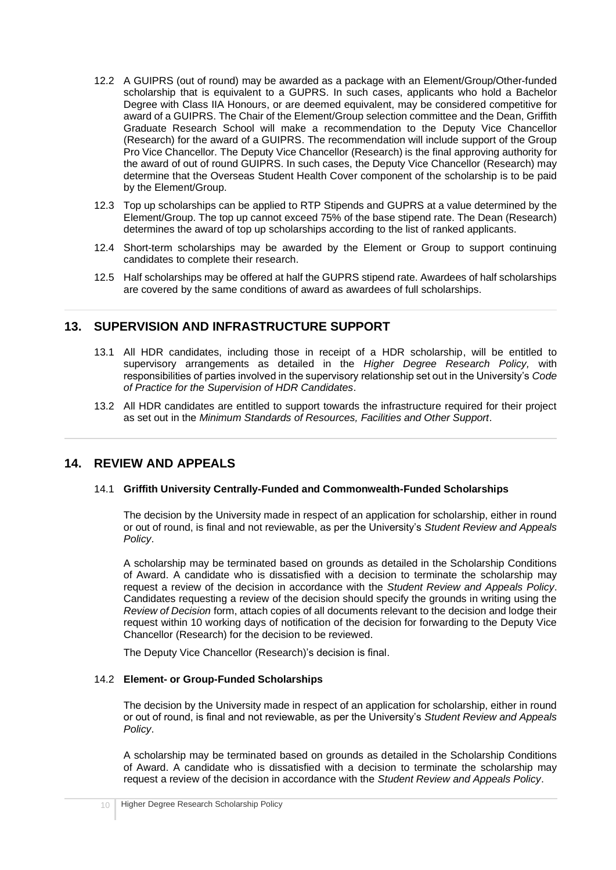- 12.2 A GUIPRS (out of round) may be awarded as a package with an Element/Group/Other-funded scholarship that is equivalent to a GUPRS. In such cases, applicants who hold a Bachelor Degree with Class IIA Honours, or are deemed equivalent, may be considered competitive for award of a GUIPRS. The Chair of the Element/Group selection committee and the Dean, Griffith Graduate Research School will make a recommendation to the Deputy Vice Chancellor (Research) for the award of a GUIPRS. The recommendation will include support of the Group Pro Vice Chancellor. The Deputy Vice Chancellor (Research) is the final approving authority for the award of out of round GUIPRS. In such cases, the Deputy Vice Chancellor (Research) may determine that the Overseas Student Health Cover component of the scholarship is to be paid by the Element/Group.
- 12.3 Top up scholarships can be applied to RTP Stipends and GUPRS at a value determined by the Element/Group. The top up cannot exceed 75% of the base stipend rate. The Dean (Research) determines the award of top up scholarships according to the list of ranked applicants.
- 12.4 Short-term scholarships may be awarded by the Element or Group to support continuing candidates to complete their research.
- 12.5 Half scholarships may be offered at half the GUPRS stipend rate. Awardees of half scholarships are covered by the same conditions of award as awardees of full scholarships.

# <span id="page-9-0"></span>**13. SUPERVISION AND INFRASTRUCTURE SUPPORT**

- 13.1 All HDR candidates, including those in receipt of a HDR scholarship, will be entitled to supervisory arrangements as detailed in the *Higher Degree Research Policy,* with responsibilities of parties involved in the supervisory relationship set out in the University's *Code of Practice for the Supervision of HDR Candidates*.
- 13.2 All HDR candidates are entitled to support towards the infrastructure required for their project as set out in the *Minimum Standards of Resources, Facilities and Other Support*.

# <span id="page-9-1"></span>**14. REVIEW AND APPEALS**

#### 14.1 **Griffith University Centrally-Funded and Commonwealth-Funded Scholarships**

The decision by the University made in respect of an application for scholarship, either in round or out of round, is final and not reviewable, as per the University's *Student Review and Appeals Policy*.

A scholarship may be terminated based on grounds as detailed in the Scholarship Conditions of Award. A candidate who is dissatisfied with a decision to terminate the scholarship may request a review of the decision in accordance with the *Student Review and Appeals Policy*. Candidates requesting a review of the decision should specify the grounds in writing using the *Review of Decision* form, attach copies of all documents relevant to the decision and lodge their request within 10 working days of notification of the decision for forwarding to the Deputy Vice Chancellor (Research) for the decision to be reviewed.

The Deputy Vice Chancellor (Research)'s decision is final.

#### 14.2 **Element- or Group-Funded Scholarships**

The decision by the University made in respect of an application for scholarship, either in round or out of round, is final and not reviewable, as per the University's *Student Review and Appeals Policy*.

A scholarship may be terminated based on grounds as detailed in the Scholarship Conditions of Award. A candidate who is dissatisfied with a decision to terminate the scholarship may request a review of the decision in accordance with the *Student Review and Appeals Policy*.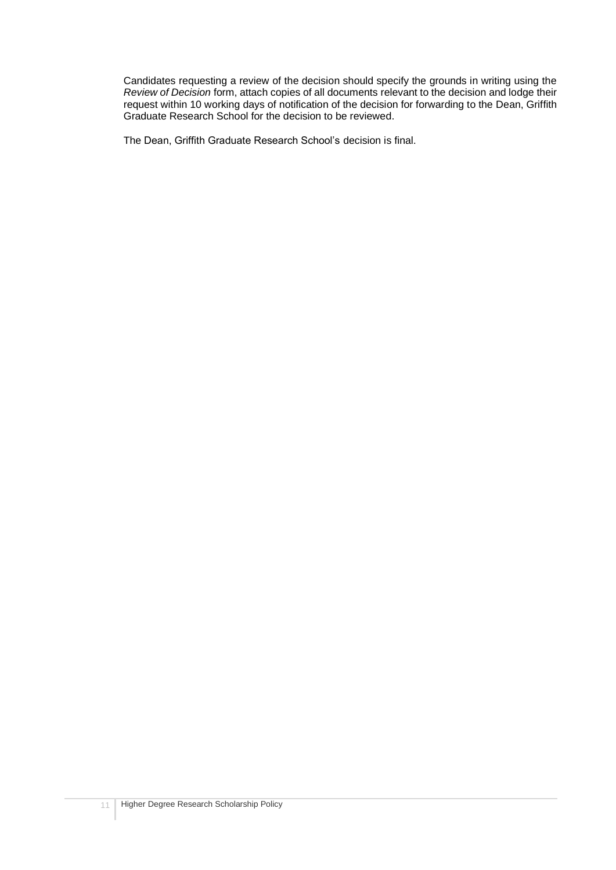Candidates requesting a review of the decision should specify the grounds in writing using the *Review of Decision* form, attach copies of all documents relevant to the decision and lodge their request within 10 working days of notification of the decision for forwarding to the Dean, Griffith Graduate Research School for the decision to be reviewed.

The Dean, Griffith Graduate Research School's decision is final.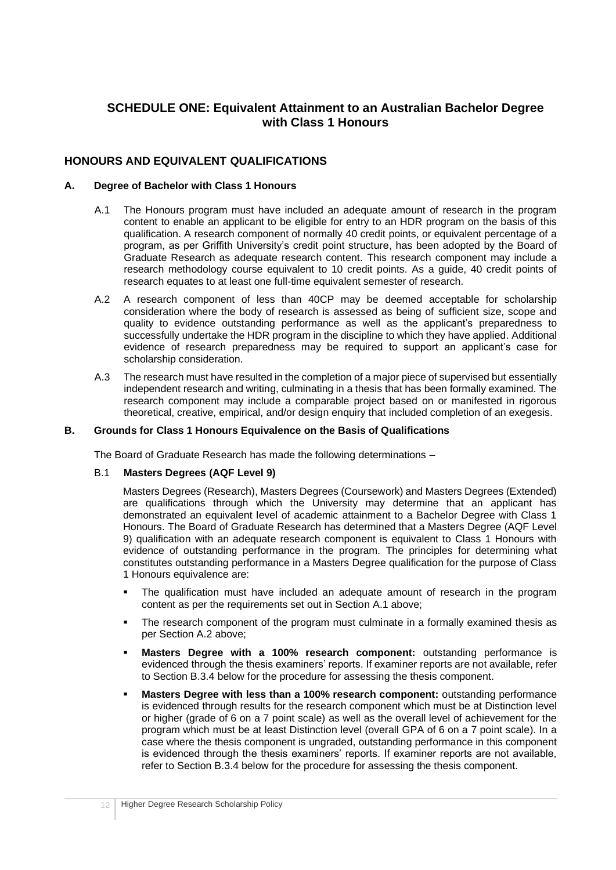# <span id="page-11-0"></span>**SCHEDULE ONE: Equivalent Attainment to an Australian Bachelor Degree with Class 1 Honours**

## **HONOURS AND EQUIVALENT QUALIFICATIONS**

#### **A. Degree of Bachelor with Class 1 Honours**

- A.1 The Honours program must have included an adequate amount of research in the program content to enable an applicant to be eligible for entry to an HDR program on the basis of this qualification. A research component of normally 40 credit points, or equivalent percentage of a program, as per Griffith University's credit point structure, has been adopted by the Board of Graduate Research as adequate research content. This research component may include a research methodology course equivalent to 10 credit points. As a guide, 40 credit points of research equates to at least one full-time equivalent semester of research.
- A.2 A research component of less than 40CP may be deemed acceptable for scholarship consideration where the body of research is assessed as being of sufficient size, scope and quality to evidence outstanding performance as well as the applicant's preparedness to successfully undertake the HDR program in the discipline to which they have applied. Additional evidence of research preparedness may be required to support an applicant's case for scholarship consideration.
- A.3 The research must have resulted in the completion of a major piece of supervised but essentially independent research and writing, culminating in a thesis that has been formally examined. The research component may include a comparable project based on or manifested in rigorous theoretical, creative, empirical, and/or design enquiry that included completion of an exegesis.

#### **B. Grounds for Class 1 Honours Equivalence on the Basis of Qualifications**

The Board of Graduate Research has made the following determinations –

#### B.1 **Masters Degrees (AQF Level 9)**

Masters Degrees (Research), Masters Degrees (Coursework) and Masters Degrees (Extended) are qualifications through which the University may determine that an applicant has demonstrated an equivalent level of academic attainment to a Bachelor Degree with Class 1 Honours. The Board of Graduate Research has determined that a Masters Degree (AQF Level 9) qualification with an adequate research component is equivalent to Class 1 Honours with evidence of outstanding performance in the program. The principles for determining what constitutes outstanding performance in a Masters Degree qualification for the purpose of Class 1 Honours equivalence are:

- The qualification must have included an adequate amount of research in the program content as per the requirements set out in Section A.1 above;
- The research component of the program must culminate in a formally examined thesis as per Section A.2 above;
- **Masters Degree with a 100% research component:** outstanding performance is evidenced through the thesis examiners' reports. If examiner reports are not available, refer to Section B.3.4 below for the procedure for assessing the thesis component.
- **Masters Degree with less than a 100% research component:** outstanding performance is evidenced through results for the research component which must be at Distinction level or higher (grade of 6 on a 7 point scale) as well as the overall level of achievement for the program which must be at least Distinction level (overall GPA of 6 on a 7 point scale). In a case where the thesis component is ungraded, outstanding performance in this component is evidenced through the thesis examiners' reports. If examiner reports are not available, refer to Section B.3.4 below for the procedure for assessing the thesis component.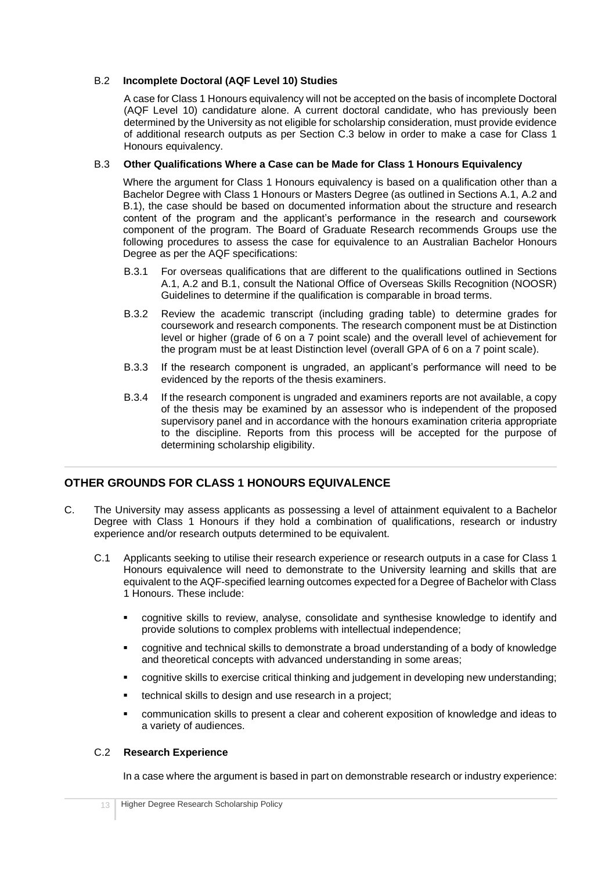### B.2 **Incomplete Doctoral (AQF Level 10) Studies**

A case for Class 1 Honours equivalency will not be accepted on the basis of incomplete Doctoral (AQF Level 10) candidature alone. A current doctoral candidate, who has previously been determined by the University as not eligible for scholarship consideration, must provide evidence of additional research outputs as per Section C.3 below in order to make a case for Class 1 Honours equivalency.

### B.3 **Other Qualifications Where a Case can be Made for Class 1 Honours Equivalency**

Where the argument for Class 1 Honours equivalency is based on a qualification other than a Bachelor Degree with Class 1 Honours or Masters Degree (as outlined in Sections A.1, A.2 and B.1), the case should be based on documented information about the structure and research content of the program and the applicant's performance in the research and coursework component of the program. The Board of Graduate Research recommends Groups use the following procedures to assess the case for equivalence to an Australian Bachelor Honours Degree as per the AQF specifications:

- B.3.1 For overseas qualifications that are different to the qualifications outlined in Sections A.1, A.2 and B.1, consult the National Office of Overseas Skills Recognition (NOOSR) Guidelines to determine if the qualification is comparable in broad terms.
- B.3.2 Review the academic transcript (including grading table) to determine grades for coursework and research components. The research component must be at Distinction level or higher (grade of 6 on a 7 point scale) and the overall level of achievement for the program must be at least Distinction level (overall GPA of 6 on a 7 point scale).
- B.3.3 If the research component is ungraded, an applicant's performance will need to be evidenced by the reports of the thesis examiners.
- B.3.4 If the research component is ungraded and examiners reports are not available, a copy of the thesis may be examined by an assessor who is independent of the proposed supervisory panel and in accordance with the honours examination criteria appropriate to the discipline. Reports from this process will be accepted for the purpose of determining scholarship eligibility.

# **OTHER GROUNDS FOR CLASS 1 HONOURS EQUIVALENCE**

- C. The University may assess applicants as possessing a level of attainment equivalent to a Bachelor Degree with Class 1 Honours if they hold a combination of qualifications, research or industry experience and/or research outputs determined to be equivalent.
	- C.1 Applicants seeking to utilise their research experience or research outputs in a case for Class 1 Honours equivalence will need to demonstrate to the University learning and skills that are equivalent to the AQF-specified learning outcomes expected for a Degree of Bachelor with Class 1 Honours. These include:
		- cognitive skills to review, analyse, consolidate and synthesise knowledge to identify and provide solutions to complex problems with intellectual independence;
		- cognitive and technical skills to demonstrate a broad understanding of a body of knowledge and theoretical concepts with advanced understanding in some areas;
		- cognitive skills to exercise critical thinking and judgement in developing new understanding;
		- technical skills to design and use research in a project;
		- communication skills to present a clear and coherent exposition of knowledge and ideas to a variety of audiences.

#### C.2 **Research Experience**

In a case where the argument is based in part on demonstrable research or industry experience: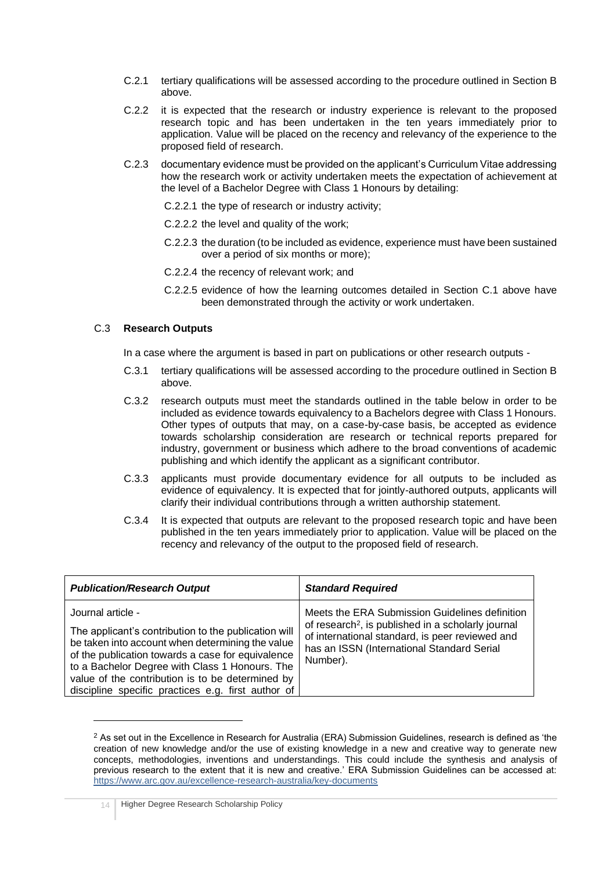- C.2.1 tertiary qualifications will be assessed according to the procedure outlined in Section B above.
- C.2.2 it is expected that the research or industry experience is relevant to the proposed research topic and has been undertaken in the ten years immediately prior to application. Value will be placed on the recency and relevancy of the experience to the proposed field of research.
- C.2.3 documentary evidence must be provided on the applicant's Curriculum Vitae addressing how the research work or activity undertaken meets the expectation of achievement at the level of a Bachelor Degree with Class 1 Honours by detailing:
	- C.2.2.1 the type of research or industry activity;
	- C.2.2.2 the level and quality of the work;
	- C.2.2.3 the duration (to be included as evidence, experience must have been sustained over a period of six months or more);
	- C.2.2.4 the recency of relevant work; and
	- C.2.2.5 evidence of how the learning outcomes detailed in Section C.1 above have been demonstrated through the activity or work undertaken.

#### C.3 **Research Outputs**

In a case where the argument is based in part on publications or other research outputs -

- C.3.1 tertiary qualifications will be assessed according to the procedure outlined in Section B above.
- C.3.2 research outputs must meet the standards outlined in the table below in order to be included as evidence towards equivalency to a Bachelors degree with Class 1 Honours. Other types of outputs that may, on a case-by-case basis, be accepted as evidence towards scholarship consideration are research or technical reports prepared for industry, government or business which adhere to the broad conventions of academic publishing and which identify the applicant as a significant contributor.
- C.3.3 applicants must provide documentary evidence for all outputs to be included as evidence of equivalency. It is expected that for jointly-authored outputs, applicants will clarify their individual contributions through a written authorship statement.
- C.3.4 It is expected that outputs are relevant to the proposed research topic and have been published in the ten years immediately prior to application. Value will be placed on the recency and relevancy of the output to the proposed field of research.

| <b>Publication/Research Output</b>                                                                                                                                                                                                                                                                                                             | <b>Standard Required</b>                                                                                                                                                                                                      |
|------------------------------------------------------------------------------------------------------------------------------------------------------------------------------------------------------------------------------------------------------------------------------------------------------------------------------------------------|-------------------------------------------------------------------------------------------------------------------------------------------------------------------------------------------------------------------------------|
| Journal article -<br>The applicant's contribution to the publication will<br>be taken into account when determining the value<br>of the publication towards a case for equivalence<br>to a Bachelor Degree with Class 1 Honours. The<br>value of the contribution is to be determined by<br>discipline specific practices e.g. first author of | Meets the ERA Submission Guidelines definition<br>of research <sup>2</sup> , is published in a scholarly journal<br>of international standard, is peer reviewed and<br>has an ISSN (International Standard Serial<br>Number). |

<sup>&</sup>lt;sup>2</sup> As set out in the Excellence in Research for Australia (ERA) Submission Guidelines, research is defined as 'the creation of new knowledge and/or the use of existing knowledge in a new and creative way to generate new concepts, methodologies, inventions and understandings. This could include the synthesis and analysis of previous research to the extent that it is new and creative.' ERA Submission Guidelines can be accessed at: <https://www.arc.gov.au/excellence-research-australia/key-documents>